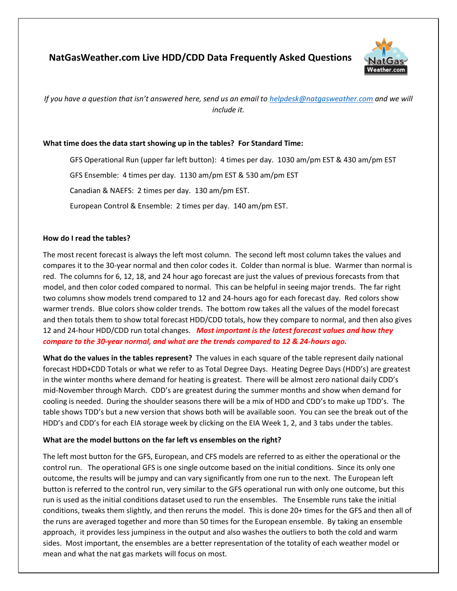# **NatGasWeather.com Live HDD/CDD Data Frequently Asked Questions**



*If you have a question that isn't answered here, send us an email to [helpdesk@natgasweather.com](mailto:helpdesk@natgasweather.com) and we will include it.* 

### **What time does the data start showing up in the tables? For Standard Time:**

GFS Operational Run (upper far left button): 4 times per day. 1030 am/pm EST & 430 am/pm EST

GFS Ensemble: 4 times per day. 1130 am/pm EST & 530 am/pm EST

Canadian & NAEFS: 2 times per day. 130 am/pm EST.

European Control & Ensemble: 2 times per day. 140 am/pm EST.

### **How do I read the tables?**

The most recent forecast is always the left most column. The second left most column takes the values and compares it to the 30-year normal and then color codes it. Colder than normal is blue. Warmer than normal is red. The columns for 6, 12, 18, and 24 hour ago forecast are just the values of previous forecasts from that model, and then color coded compared to normal. This can be helpful in seeing major trends. The far right two columns show models trend compared to 12 and 24-hours ago for each forecast day. Red colors show warmer trends. Blue colors show colder trends. The bottom row takes all the values of the model forecast and then totals them to show total forecast HDD/CDD totals, how they compare to normal, and then also gives 12 and 24-hour HDD/CDD run total changes. *Most important is the latest forecast values and how they compare to the 30-year normal, and what are the trends compared to 12 & 24-hours ago.*

**What do the values in the tables represent?** The values in each square of the table represent daily national forecast HDD+CDD Totals or what we refer to as Total Degree Days. Heating Degree Days (HDD's) are greatest in the winter months where demand for heating is greatest. There will be almost zero national daily CDD's mid-November through March. CDD's are greatest during the summer months and show when demand for cooling is needed. During the shoulder seasons there will be a mix of HDD and CDD's to make up TDD's. The table shows TDD's but a new version that shows both will be available soon. You can see the break out of the HDD's and CDD's for each EIA storage week by clicking on the EIA Week 1, 2, and 3 tabs under the tables.

### **What are the model buttons on the far left vs ensembles on the right?**

The left most button for the GFS, European, and CFS models are referred to as either the operational or the control run. The operational GFS is one single outcome based on the initial conditions. Since its only one outcome, the results will be jumpy and can vary significantly from one run to the next. The European left button is referred to the control run, very similar to the GFS operational run with only one outcome, but this run is used as the initial conditions dataset used to run the ensembles. The Ensemble runs take the initial conditions, tweaks them slightly, and then reruns the model. This is done 20+ times for the GFS and then all of the runs are averaged together and more than 50 times for the European ensemble. By taking an ensemble approach, it provides less jumpiness in the output and also washes the outliers to both the cold and warm sides. Most important, the ensembles are a better representation of the totality of each weather model or mean and what the nat gas markets will focus on most.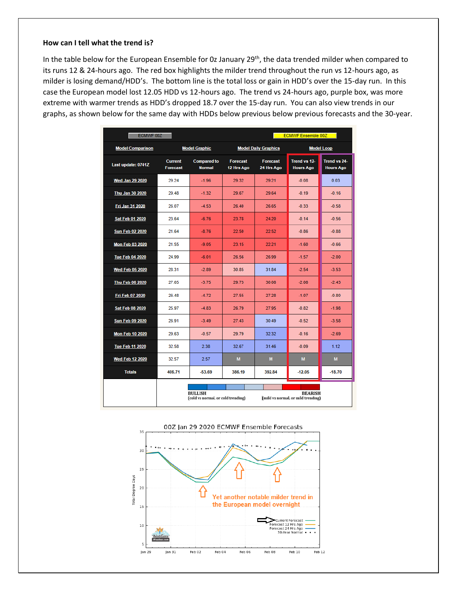#### **How can I tell what the trend is?**

In the table below for the European Ensemble for 0z January 29<sup>th</sup>, the data trended milder when compared to its runs 12 & 24-hours ago. The red box highlights the milder trend throughout the run vs 12-hours ago, as milder is losing demand/HDD's. The bottom line is the total loss or gain in HDD's over the 15-day run. In this case the European model lost 12.05 HDD vs 12-hours ago. The trend vs 24-hours ago, purple box, was more extreme with warmer trends as HDD's dropped 18.7 over the 15-day run. You can also view trends in our graphs, as shown below for the same day with HDDs below previous below previous forecasts and the 30-year.

| <b>ECMWF</b> Ensemble 00Z<br>ECMWF 00Z |                                                                                                              |                                     |                               |                               |                                  |                                  |  |
|----------------------------------------|--------------------------------------------------------------------------------------------------------------|-------------------------------------|-------------------------------|-------------------------------|----------------------------------|----------------------------------|--|
| <b>Model Comparison</b>                |                                                                                                              | <b>Model Graphic</b>                |                               | <b>Model Daily Graphics</b>   | <b>Model Loop</b>                |                                  |  |
| Last update: 0741Z                     | <b>Current</b><br><b>Forecast</b>                                                                            | <b>Compared to</b><br><b>Normal</b> | <b>Forecast</b><br>12 Hrs Ago | <b>Forecast</b><br>24 Hrs Ago | Trend vs 12-<br><b>Hours Ago</b> | Trend vs 24-<br><b>Hours Ago</b> |  |
| <b>Wed Jan 29 2020</b>                 | 29.24                                                                                                        | $-1.96$                             | 29.32                         | 29.21                         | $-0.08$                          | 0.03                             |  |
| Thu Jan 30 2020                        | 29.48                                                                                                        | $-1.32$                             | 29.67                         | 29.64                         | $-0.19$                          | $-0.16$                          |  |
| <b>Eri Jan 31 2020</b>                 | 26.07                                                                                                        | $-4.53$                             | 26.40                         | 26.65                         | $-0.33$                          | $-0.58$                          |  |
| Sat Feb 01 2020                        | 23.64                                                                                                        | $-6.76$                             | 23.78                         | 24.20                         | $-0.14$                          | $-0.56$                          |  |
| <b>Sun Feb 02 2020</b>                 | 21.64                                                                                                        | $-8.76$                             | 22.50                         | 22.52                         | $-0.86$                          | $-0.88$                          |  |
| <b>Mon Feb 03 2020</b>                 | 21.55                                                                                                        | $-9.05$                             | 23.15                         | 22.21                         | $-1.60$                          | $-0.66$                          |  |
| <b>Tue Feb 04 2020</b>                 | 24.99                                                                                                        | $-6.01$                             | 26.56                         | 26.99                         | $-1.57$                          | $-2.00$                          |  |
| <b>Wed Feb 05 2020</b>                 | 28.31                                                                                                        | $-2.89$                             | 30.85                         | 31.84                         | $-2.54$                          | $-3.53$                          |  |
| <b>Thu Feb 06 2020</b>                 | 27.65                                                                                                        | $-3.75$                             | 29.73                         | 30.08                         | $-2.08$                          | $-2.43$                          |  |
| Fri Feb 07 2020                        | 26.48                                                                                                        | $-4.72$                             | 27.55                         | 27.28                         | $-1.07$                          | $-0.80$                          |  |
| <b>Sat Feb 08 2020</b>                 | 25.97                                                                                                        | $-4.83$                             | 26.79                         | 27.95                         | $-0.82$                          | $-1.98$                          |  |
| <b>Sun Feb 09 2020</b>                 | 26.91                                                                                                        | $-3.49$                             | 27.43                         | 30.49                         | $-0.52$                          | $-3.58$                          |  |
| <b>Mon Feb 10 2020</b>                 | 29.63                                                                                                        | $-0.57$                             | 29.79                         | 32.32                         | $-0.16$                          | $-2.69$                          |  |
| <b>Tue Feb 11 2020</b>                 | 32.58                                                                                                        | 2.38                                | 32.67                         | 31.46                         | $-0.09$                          | 1.12                             |  |
| <b>Wed Feb 12 2020</b>                 | 32.57                                                                                                        | 2.57                                | M                             | M                             | м                                | M                                |  |
| <b>Totals</b>                          | 406.71                                                                                                       | $-53.69$                            | 386.19                        | 392.84                        | $-12.05$                         | $-18.70$                         |  |
|                                        | <b>BULLISH</b><br><b>BEARISH</b><br>(cold vs normal, or cold trending)<br>(mild vs normal, or mild trending) |                                     |                               |                               |                                  |                                  |  |

#### 00Z Jan 29 2020 ECMWF Ensemble Forecasts

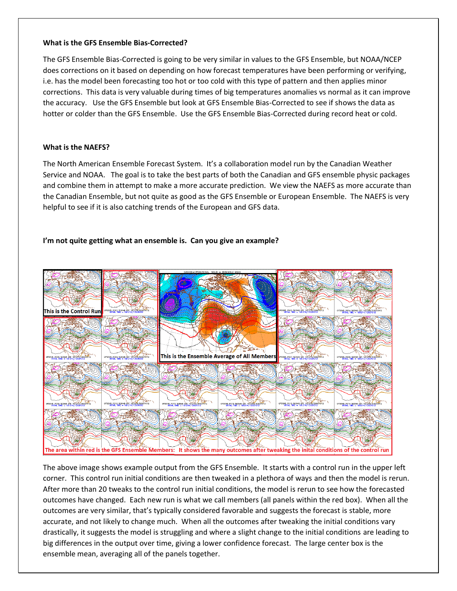#### **What is the GFS Ensemble Bias-Corrected?**

The GFS Ensemble Bias-Corrected is going to be very similar in values to the GFS Ensemble, but NOAA/NCEP does corrections on it based on depending on how forecast temperatures have been performing or verifying, i.e. has the model been forecasting too hot or too cold with this type of pattern and then applies minor corrections. This data is very valuable during times of big temperatures anomalies vs normal as it can improve the accuracy. Use the GFS Ensemble but look at GFS Ensemble Bias-Corrected to see if shows the data as hotter or colder than the GFS Ensemble. Use the GFS Ensemble Bias-Corrected during record heat or cold.

#### **What is the NAEFS?**

The North American Ensemble Forecast System. It's a collaboration model run by the Canadian Weather Service and NOAA. The goal is to take the best parts of both the Canadian and GFS ensemble physic packages and combine them in attempt to make a more accurate prediction. We view the NAEFS as more accurate than the Canadian Ensemble, but not quite as good as the GFS Ensemble or European Ensemble. The NAEFS is very helpful to see if it is also catching trends of the European and GFS data.

#### **I'm not quite getting what an ensemble is. Can you give an example?**



The above image shows example output from the GFS Ensemble. It starts with a control run in the upper left corner. This control run initial conditions are then tweaked in a plethora of ways and then the model is rerun. After more than 20 tweaks to the control run initial conditions, the model is rerun to see how the forecasted outcomes have changed. Each new run is what we call members (all panels within the red box). When all the outcomes are very similar, that's typically considered favorable and suggests the forecast is stable, more accurate, and not likely to change much. When all the outcomes after tweaking the initial conditions vary drastically, it suggests the model is struggling and where a slight change to the initial conditions are leading to big differences in the output over time, giving a lower confidence forecast. The large center box is the ensemble mean, averaging all of the panels together.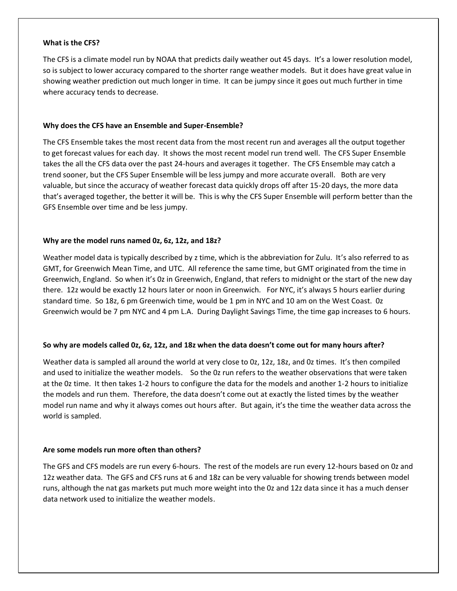#### **What is the CFS?**

The CFS is a climate model run by NOAA that predicts daily weather out 45 days. It's a lower resolution model, so is subject to lower accuracy compared to the shorter range weather models. But it does have great value in showing weather prediction out much longer in time. It can be jumpy since it goes out much further in time where accuracy tends to decrease.

#### **Why does the CFS have an Ensemble and Super-Ensemble?**

The CFS Ensemble takes the most recent data from the most recent run and averages all the output together to get forecast values for each day. It shows the most recent model run trend well. The CFS Super Ensemble takes the all the CFS data over the past 24-hours and averages it together. The CFS Ensemble may catch a trend sooner, but the CFS Super Ensemble will be less jumpy and more accurate overall. Both are very valuable, but since the accuracy of weather forecast data quickly drops off after 15-20 days, the more data that's averaged together, the better it will be. This is why the CFS Super Ensemble will perform better than the GFS Ensemble over time and be less jumpy.

#### **Why are the model runs named 0z, 6z, 12z, and 18z?**

Weather model data is typically described by z time, which is the abbreviation for Zulu. It's also referred to as GMT, for Greenwich Mean Time, and UTC. All reference the same time, but GMT originated from the time in Greenwich, England. So when it's 0z in Greenwich, England, that refers to midnight or the start of the new day there. 12z would be exactly 12 hours later or noon in Greenwich. For NYC, it's always 5 hours earlier during standard time. So 18z, 6 pm Greenwich time, would be 1 pm in NYC and 10 am on the West Coast. 0z Greenwich would be 7 pm NYC and 4 pm L.A. During Daylight Savings Time, the time gap increases to 6 hours.

### **So why are models called 0z, 6z, 12z, and 18z when the data doesn't come out for many hours after?**

Weather data is sampled all around the world at very close to 0z, 12z, 18z, and 0z times. It's then compiled and used to initialize the weather models. So the 0z run refers to the weather observations that were taken at the 0z time. It then takes 1-2 hours to configure the data for the models and another 1-2 hours to initialize the models and run them. Therefore, the data doesn't come out at exactly the listed times by the weather model run name and why it always comes out hours after. But again, it's the time the weather data across the world is sampled.

### **Are some models run more often than others?**

The GFS and CFS models are run every 6-hours. The rest of the models are run every 12-hours based on 0z and 12z weather data. The GFS and CFS runs at 6 and 18z can be very valuable for showing trends between model runs, although the nat gas markets put much more weight into the 0z and 12z data since it has a much denser data network used to initialize the weather models.